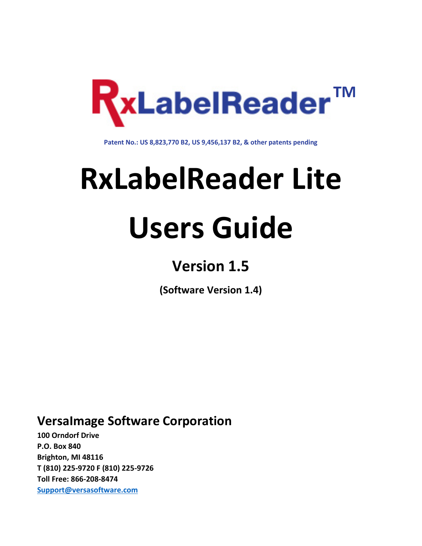

**Patent No.: US 8,823,770 B2, US 9,456,137 B2, & other patents pending**

# **RxLabelReader Lite**

# **Users Guide**

# **Version 1.5**

**(Software Version 1.4)**

# **VersaImage Software Corporation**

**100 Orndorf Drive P.O. Box 840 Brighton, MI 48116 T (810) 225-9720 F (810) 225-9726 Toll Free: 866-208-8474 [Support@versasoftware.com](mailto:support@versasoftware.com)**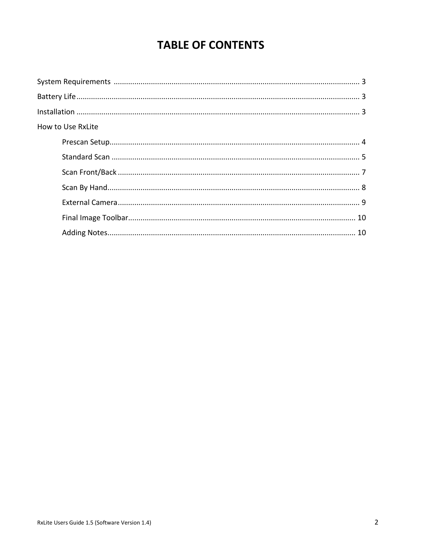# **TABLE OF CONTENTS**

| How to Use RxLite |  |
|-------------------|--|
|                   |  |
|                   |  |
|                   |  |
|                   |  |
|                   |  |
|                   |  |
|                   |  |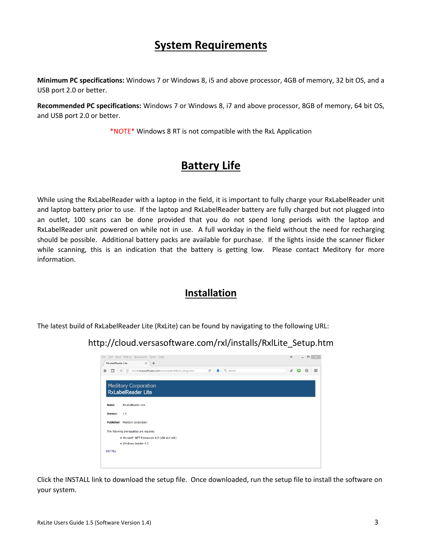# **System Requirements**

**Minimum PC specifications:** Windows 7 or Windows 8, i5 and above processor, 4GB of memory, 32 bit OS, and a USB port 2.0 or better.

**Recommended PC specifications:** Windows 7 or Windows 8, i7 and above processor, 8GB of memory, 64 bit OS, and USB port 2.0 or better.

\*NOTE\* Windows 8 RT is not compatible with the RxL Application

# **Battery Life**

While using the RxLabelReader with a laptop in the field, it is important to fully charge your RxLabelReader unit and laptop battery prior to use. If the laptop and RxLabelReader battery are fully charged but not plugged into an outlet, 100 scans can be done provided that you do not spend long periods with the laptop and RxLabelReader unit powered on while not in use. A full workday in the field without the need for recharging should be possible. Additional battery packs are available for purchase. If the lights inside the scanner flicker while scanning, this is an indication that the battery is getting low. Please contact Meditory for more information.

## **Installation**

The latest build of RxLabelReader Lite (RxLite) can be found by navigating to the following URL:

### http://cloud.versasoftware.com/rxl/installs/RxlLite\_Setup.htm

| RxLabelReader Lite | File Edit View History Bookmarks Tools Help<br>$\leftrightarrow$<br>$\times$<br>$+$                                         | □ | $\times$ |
|--------------------|-----------------------------------------------------------------------------------------------------------------------------|---|----------|
| 合<br>$\Box$        | (i) cloud.versasoftware.com/n:l/installs/RxlLite_Setup.htm<br>Q Search<br>$\bullet$<br>$\mathbb{C}^t$<br>$\mathcal{A}$<br>┻ | € | $\equiv$ |
|                    | <b>Meditory Corporation</b><br><b>RxLabelReader Lite</b>                                                                    |   |          |
| Name:              | <b>RxLabelReader Lite</b>                                                                                                   |   |          |
| Version:           | 1.4                                                                                                                         |   |          |
|                    | Publisher: Meditory Corporation                                                                                             |   |          |
|                    | The following prerequisites are required:                                                                                   |   |          |
|                    | . Microsoft .NET Framework 4.5 (x86 and x64)                                                                                |   |          |
|                    | · Windows Installer 4.5                                                                                                     |   |          |
| <b>INSTALL</b>     |                                                                                                                             |   |          |
|                    |                                                                                                                             |   |          |
|                    |                                                                                                                             |   |          |

Click the INSTALL link to download the setup file. Once downloaded, run the setup file to install the software on your system.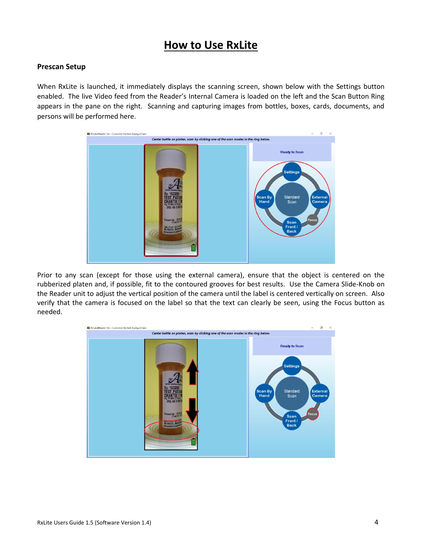# **How to Use RxLite**

#### **Prescan Setup**

When RxLite is launched, it immediately displays the scanning screen, shown below with the Settings button enabled. The live Video feed from the Reader's Internal Camera is loaded on the left and the Scan Button Ring appears in the pane on the right. Scanning and capturing images from bottles, boxes, cards, documents, and persons will be performed here.



Prior to any scan (except for those using the external camera), ensure that the object is centered on the rubberized platen and, if possible, fit to the contoured grooves for best results. Use the Camera Slide-Knob on the Reader unit to adjust the vertical position of the camera until the label is centered vertically on screen. Also verify that the camera is focused on the label so that the text can clearly be seen, using the Focus button as needed.

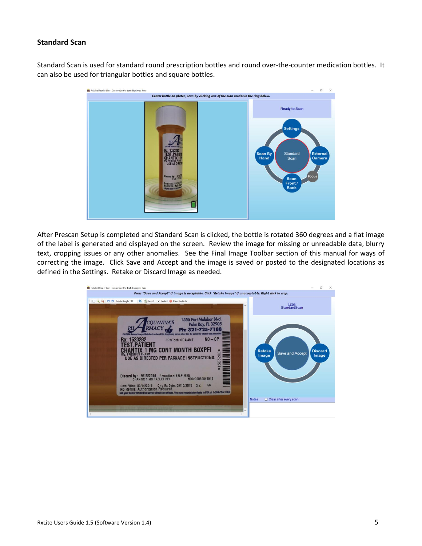#### **Standard Scan**

Standard Scan is used for standard round prescription bottles and round over-the-counter medication bottles. It can also be used for triangular bottles and square bottles.



After Prescan Setup is completed and Standard Scan is clicked, the bottle is rotated 360 degrees and a flat image of the label is generated and displayed on the screen. Review the image for missing or unreadable data, blurry text, cropping issues or any other anomalies. See the Final Image Toolbar section of this manual for ways of correcting the image. Click Save and Accept and the image is saved or posted to the designated locations as defined in the Settings. Retake or Discard Image as needed.

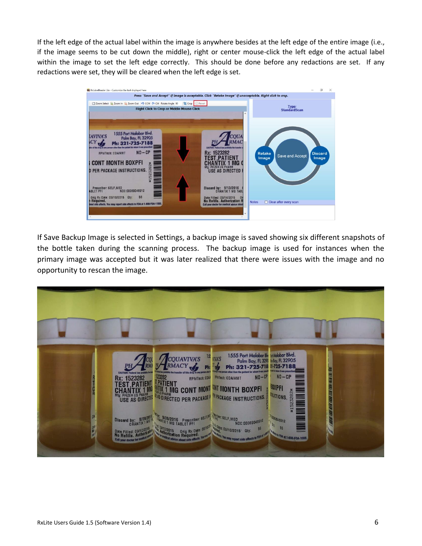If the left edge of the actual label within the image is anywhere besides at the left edge of the entire image (i.e., if the image seems to be cut down the middle), right or center mouse-click the left edge of the actual label within the image to set the left edge correctly. This should be done before any redactions are set. If any redactions were set, they will be cleared when the left edge is set.



If Save Backup Image is selected in Settings, a backup image is saved showing six different snapshots of the bottle taken during the scanning process. The backup image is used for instances when the primary image was accepted but it was later realized that there were issues with the image and no opportunity to rescan the image.

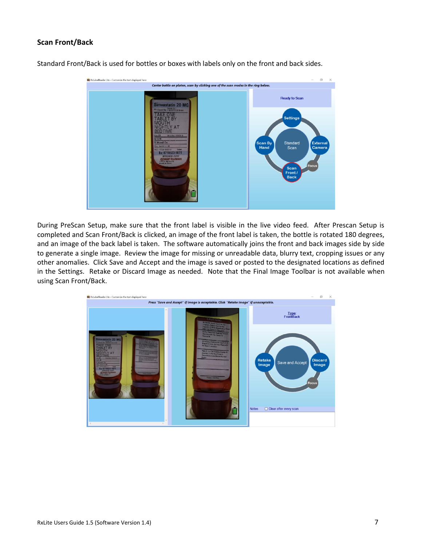#### **Scan Front/Back**



Standard Front/Back is used for bottles or boxes with labels only on the front and back sides.

During PreScan Setup, make sure that the front label is visible in the live video feed. After Prescan Setup is completed and Scan Front/Back is clicked, an image of the front label is taken, the bottle is rotated 180 degrees, and an image of the back label is taken. The software automatically joins the front and back images side by side to generate a single image. Review the image for missing or unreadable data, blurry text, cropping issues or any other anomalies. Click Save and Accept and the image is saved or posted to the designated locations as defined in the Settings. Retake or Discard Image as needed. Note that the Final Image Toolbar is not available when using Scan Front/Back.

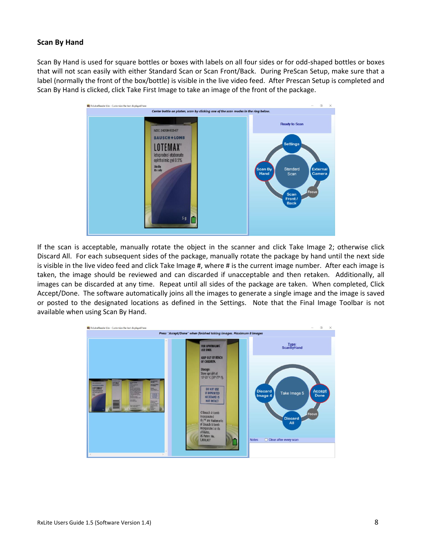#### **Scan By Hand**

Scan By Hand is used for square bottles or boxes with labels on all four sides or for odd-shaped bottles or boxes that will not scan easily with either Standard Scan or Scan Front/Back. During PreScan Setup, make sure that a label (normally the front of the box/bottle) is visible in the live video feed. After Prescan Setup is completed and Scan By Hand is clicked, click Take First Image to take an image of the front of the package.



If the scan is acceptable, manually rotate the object in the scanner and click Take Image 2; otherwise click Discard All. For each subsequent sides of the package, manually rotate the package by hand until the next side is visible in the live video feed and click Take Image #, where # is the current image number. After each image is taken, the image should be reviewed and can discarded if unacceptable and then retaken. Additionally, all images can be discarded at any time. Repeat until all sides of the package are taken. When completed, Click Accept/Done. The software automatically joins all the images to generate a single image and the image is saved or posted to the designated locations as defined in the Settings. Note that the Final Image Toolbar is not available when using Scan By Hand.

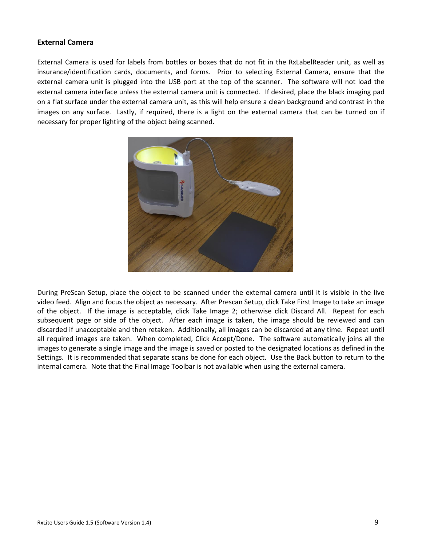#### **External Camera**

External Camera is used for labels from bottles or boxes that do not fit in the RxLabelReader unit, as well as insurance/identification cards, documents, and forms. Prior to selecting External Camera, ensure that the external camera unit is plugged into the USB port at the top of the scanner. The software will not load the external camera interface unless the external camera unit is connected. If desired, place the black imaging pad on a flat surface under the external camera unit, as this will help ensure a clean background and contrast in the images on any surface. Lastly, if required, there is a light on the external camera that can be turned on if necessary for proper lighting of the object being scanned.



During PreScan Setup, place the object to be scanned under the external camera until it is visible in the live video feed. Align and focus the object as necessary. After Prescan Setup, click Take First Image to take an image of the object. If the image is acceptable, click Take Image 2; otherwise click Discard All. Repeat for each subsequent page or side of the object. After each image is taken, the image should be reviewed and can discarded if unacceptable and then retaken. Additionally, all images can be discarded at any time. Repeat until all required images are taken. When completed, Click Accept/Done. The software automatically joins all the images to generate a single image and the image is saved or posted to the designated locations as defined in the Settings. It is recommended that separate scans be done for each object. Use the Back button to return to the internal camera. Note that the Final Image Toolbar is not available when using the external camera.